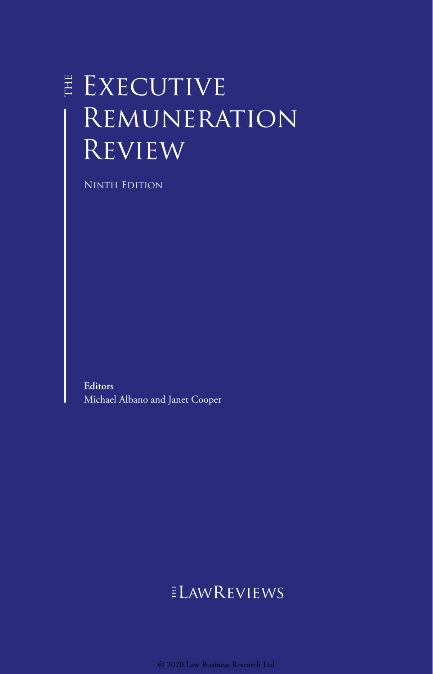# EXECUTIVE **REMUNERATION REVIEW**

Ninth Edition

**Editors** Michael Albano and Janet Cooper

## ELAWREVIEWS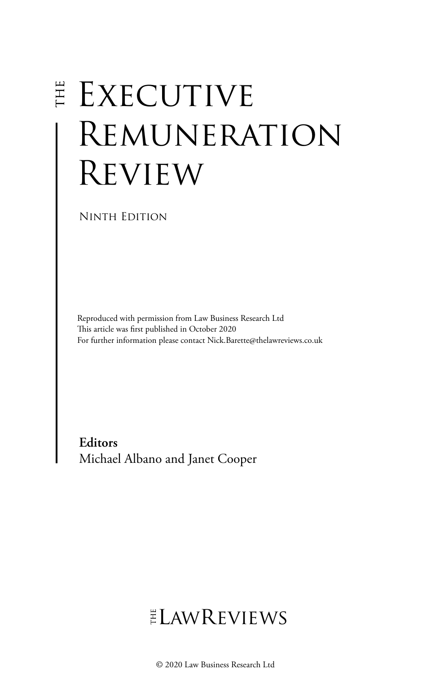# **EXECUTIVE** Remuneration Review

Ninth Edition

Reproduced with permission from Law Business Research Ltd This article was first published in October 2020 For further information please contact Nick.Barette@thelawreviews.co.uk

**Editors** Michael Albano and Janet Cooper

# $ELMR$  EVIEWS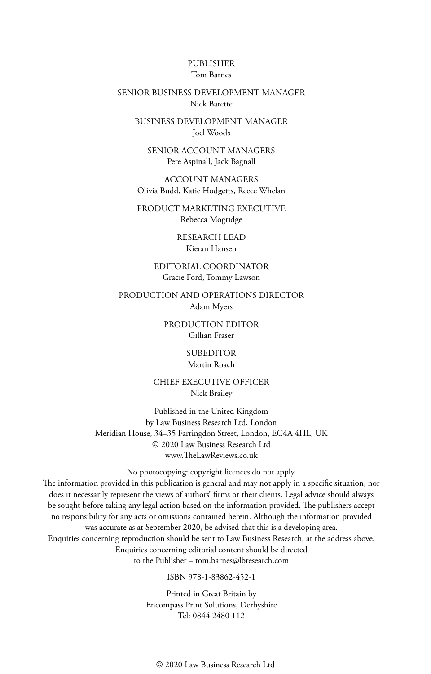#### PUBLISHER Tom Barnes

#### SENIOR BUSINESS DEVELOPMENT MANAGER Nick Barette

BUSINESS DEVELOPMENT MANAGER Joel Woods

SENIOR ACCOUNT MANAGERS Pere Aspinall, Jack Bagnall

ACCOUNT MANAGERS Olivia Budd, Katie Hodgetts, Reece Whelan

PRODUCT MARKETING EXECUTIVE Rebecca Mogridge

> RESEARCH LEAD Kieran Hansen

EDITORIAL COORDINATOR Gracie Ford, Tommy Lawson

PRODUCTION AND OPERATIONS DIRECTOR Adam Myers

> PRODUCTION EDITOR Gillian Fraser

> > SUBEDITOR Martin Roach

CHIEF EXECUTIVE OFFICER Nick Brailey

Published in the United Kingdom by Law Business Research Ltd, London Meridian House, 34–35 Farringdon Street, London, EC4A 4HL, UK © 2020 Law Business Research Ltd www.TheLawReviews.co.uk

No photocopying: copyright licences do not apply. The information provided in this publication is general and may not apply in a specific situation, nor does it necessarily represent the views of authors' firms or their clients. Legal advice should always be sought before taking any legal action based on the information provided. The publishers accept no responsibility for any acts or omissions contained herein. Although the information provided was accurate as at September 2020, be advised that this is a developing area. Enquiries concerning reproduction should be sent to Law Business Research, at the address above. Enquiries concerning editorial content should be directed to the Publisher – tom.barnes@lbresearch.com

ISBN 978-1-83862-452-1

Printed in Great Britain by Encompass Print Solutions, Derbyshire Tel: 0844 2480 112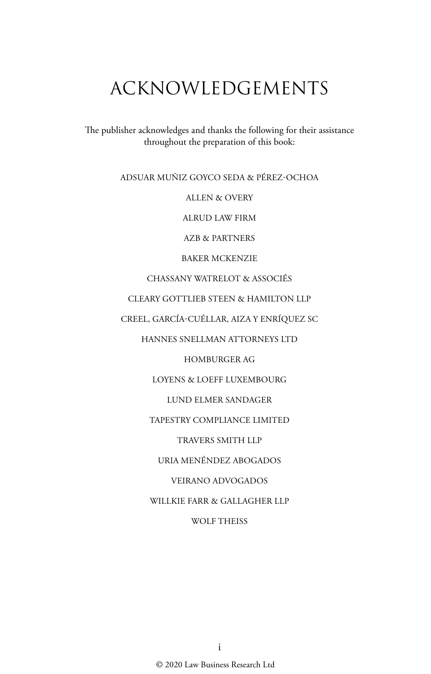# ACKNOWLEDGEMENTS

The publisher acknowledges and thanks the following for their assistance throughout the preparation of this book:

ADSUAR MUÑIZ GOYCO SEDA & PÉREZ-OCHOA

ALLEN & OVERY

ALRUD LAW FIRM

AZB & PARTNERS

BAKER MCKENZIE

CHASSANY WATRELOT & ASSOCIÉS

CLEARY GOTTLIEB STEEN & HAMILTON LLP

CREEL, GARCÍA-CUÉLLAR, AIZA Y ENRÍQUEZ SC

HANNES SNELLMAN ATTORNEYS LTD

HOMBURGER AG

LOYENS & LOEFF LUXEMBOURG

LUND ELMER SANDAGER

TAPESTRY COMPLIANCE LIMITED

TRAVERS SMITH LLP

URIA MENÉNDEZ ABOGADOS

VEIRANO ADVOGADOS

WILLKIE FARR & GALLAGHER LLP

#### WOLF THEISS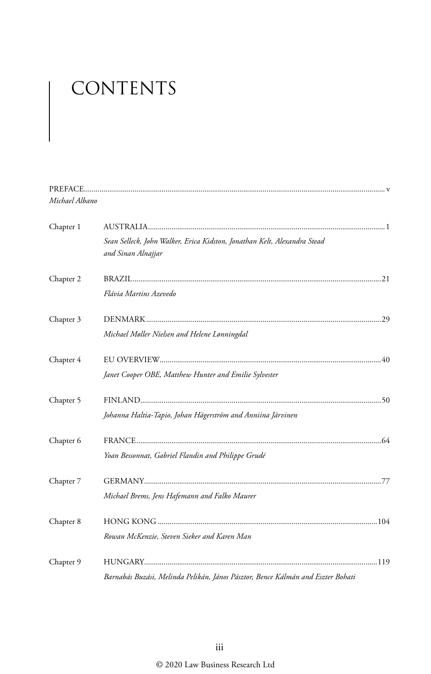# CONTENTS

| Michael Albano |                                                                                                |
|----------------|------------------------------------------------------------------------------------------------|
| Chapter 1      |                                                                                                |
|                | Sean Selleck, John Walker, Erica Kidston, Jonathan Kelt, Alexandra Stead<br>and Sinan Alnajjar |
| Chapter 2      |                                                                                                |
|                | Flávia Martins Azevedo                                                                         |
| Chapter 3      |                                                                                                |
|                | Michael Møller Nielsen and Helene Lønningdal                                                   |
| Chapter 4      |                                                                                                |
|                | Janet Cooper OBE, Matthew Hunter and Emilie Sylvester                                          |
| Chapter 5      |                                                                                                |
|                | Johanna Haltia-Tapio, Johan Hägerström and Anniina Järvinen                                    |
| Chapter 6      |                                                                                                |
|                | Yoan Bessonnat, Gabriel Flandin and Philippe Grudé                                             |
| Chapter 7      |                                                                                                |
|                | Michael Brems, Jens Hafemann and Falko Maurer                                                  |
| Chapter 8      |                                                                                                |
|                | Rowan McKenzie, Steven Sieker and Karen Man                                                    |
| Chapter 9      |                                                                                                |
|                | Barnabás Buzási, Melinda Pelikán, János Pásztor, Bence Kálmán and Eszter Bohati                |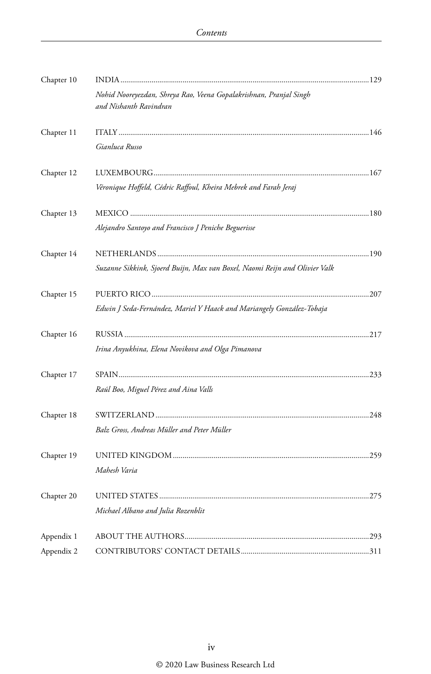| Chapter 10 |                                                                                              |  |
|------------|----------------------------------------------------------------------------------------------|--|
|            | Nohid Nooreyezdan, Shreya Rao, Veena Gopalakrishnan, Pranjal Singh<br>and Nishanth Ravindran |  |
| Chapter 11 |                                                                                              |  |
|            | Gianluca Russo                                                                               |  |
| Chapter 12 |                                                                                              |  |
|            | Véronique Hoffeld, Cédric Raffoul, Kheira Mebrek and Farah Jeraj                             |  |
| Chapter 13 |                                                                                              |  |
|            | Alejandro Santoyo and Francisco J Peniche Beguerisse                                         |  |
| Chapter 14 |                                                                                              |  |
|            | Suzanne Sikkink, Sjoerd Buijn, Max van Boxel, Naomi Reijn and Olivier Valk                   |  |
| Chapter 15 |                                                                                              |  |
|            | Edwin J Seda-Fernández, Mariel Y Haack and Mariangely González-Tobaja                        |  |
| Chapter 16 |                                                                                              |  |
|            | Irina Anyukhina, Elena Novikova and Olga Pimanova                                            |  |
| Chapter 17 |                                                                                              |  |
|            | Raúl Boo, Miguel Pérez and Aina Valls                                                        |  |
| Chapter 18 |                                                                                              |  |
|            | Balz Gross, Andreas Müller and Peter Müller                                                  |  |
| Chapter 19 |                                                                                              |  |
|            | Mahesh Varia                                                                                 |  |
| Chapter 20 |                                                                                              |  |
|            | Michael Albano and Julia Rozenblit                                                           |  |
| Appendix 1 |                                                                                              |  |
| Appendix 2 |                                                                                              |  |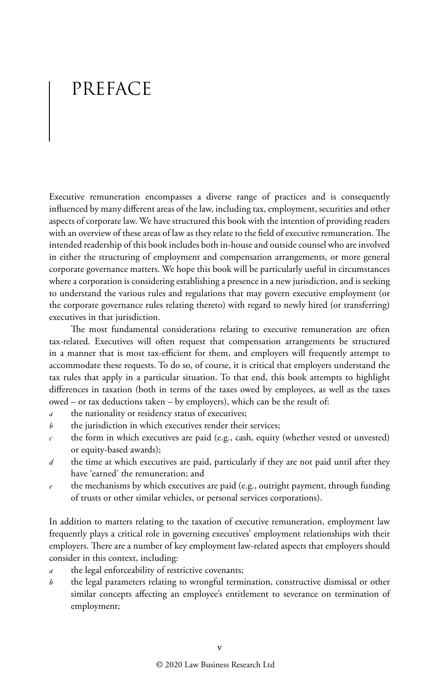# PREFACE

Executive remuneration encompasses a diverse range of practices and is consequently influenced by many different areas of the law, including tax, employment, securities and other aspects of corporate law. We have structured this book with the intention of providing readers with an overview of these areas of law as they relate to the field of executive remuneration. The intended readership of this book includes both in-house and outside counsel who are involved in either the structuring of employment and compensation arrangements, or more general corporate governance matters. We hope this book will be particularly useful in circumstances where a corporation is considering establishing a presence in a new jurisdiction, and is seeking to understand the various rules and regulations that may govern executive employment (or the corporate governance rules relating thereto) with regard to newly hired (or transferring) executives in that jurisdiction.

The most fundamental considerations relating to executive remuneration are often tax-related. Executives will often request that compensation arrangements be structured in a manner that is most tax-efficient for them, and employers will frequently attempt to accommodate these requests. To do so, of course, it is critical that employers understand the tax rules that apply in a particular situation. To that end, this book attempts to highlight differences in taxation (both in terms of the taxes owed by employees, as well as the taxes owed – or tax deductions taken – by employers), which can be the result of:

- *a* the nationality or residency status of executives;
- *b* the jurisdiction in which executives render their services;
- *c* the form in which executives are paid (e.g., cash, equity (whether vested or unvested) or equity-based awards);
- *d* the time at which executives are paid, particularly if they are not paid until after they have 'earned' the remuneration; and
- *e* the mechanisms by which executives are paid (e.g., outright payment, through funding of trusts or other similar vehicles, or personal services corporations).

In addition to matters relating to the taxation of executive remuneration, employment law frequently plays a critical role in governing executives' employment relationships with their employers. There are a number of key employment law-related aspects that employers should consider in this context, including:

- the legal enforceability of restrictive covenants;
- *b* the legal parameters relating to wrongful termination, constructive dismissal or other similar concepts affecting an employee's entitlement to severance on termination of employment;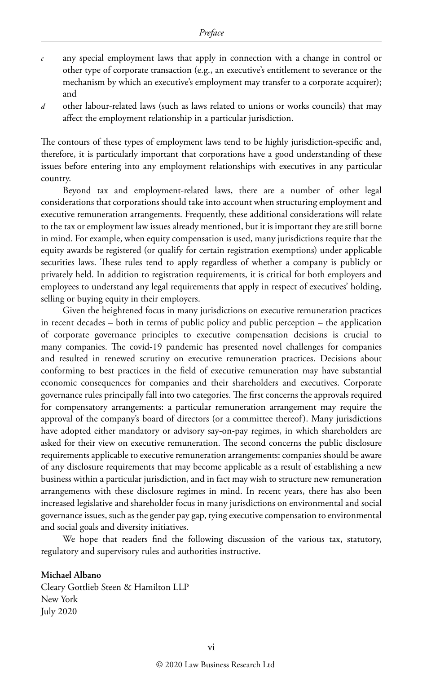- *c* any special employment laws that apply in connection with a change in control or other type of corporate transaction (e.g., an executive's entitlement to severance or the mechanism by which an executive's employment may transfer to a corporate acquirer); and
- *d* other labour-related laws (such as laws related to unions or works councils) that may affect the employment relationship in a particular jurisdiction.

The contours of these types of employment laws tend to be highly jurisdiction-specific and, therefore, it is particularly important that corporations have a good understanding of these issues before entering into any employment relationships with executives in any particular country.

Beyond tax and employment-related laws, there are a number of other legal considerations that corporations should take into account when structuring employment and executive remuneration arrangements. Frequently, these additional considerations will relate to the tax or employment law issues already mentioned, but it is important they are still borne in mind. For example, when equity compensation is used, many jurisdictions require that the equity awards be registered (or qualify for certain registration exemptions) under applicable securities laws. These rules tend to apply regardless of whether a company is publicly or privately held. In addition to registration requirements, it is critical for both employers and employees to understand any legal requirements that apply in respect of executives' holding, selling or buying equity in their employers.

Given the heightened focus in many jurisdictions on executive remuneration practices in recent decades – both in terms of public policy and public perception – the application of corporate governance principles to executive compensation decisions is crucial to many companies. The covid-19 pandemic has presented novel challenges for companies and resulted in renewed scrutiny on executive remuneration practices. Decisions about conforming to best practices in the field of executive remuneration may have substantial economic consequences for companies and their shareholders and executives. Corporate governance rules principally fall into two categories. The first concerns the approvals required for compensatory arrangements: a particular remuneration arrangement may require the approval of the company's board of directors (or a committee thereof). Many jurisdictions have adopted either mandatory or advisory say-on-pay regimes, in which shareholders are asked for their view on executive remuneration. The second concerns the public disclosure requirements applicable to executive remuneration arrangements: companies should be aware of any disclosure requirements that may become applicable as a result of establishing a new business within a particular jurisdiction, and in fact may wish to structure new remuneration arrangements with these disclosure regimes in mind. In recent years, there has also been increased legislative and shareholder focus in many jurisdictions on environmental and social governance issues, such as the gender pay gap, tying executive compensation to environmental and social goals and diversity initiatives.

We hope that readers find the following discussion of the various tax, statutory, regulatory and supervisory rules and authorities instructive.

#### **Michael Albano**

Cleary Gottlieb Steen & Hamilton LLP New York July 2020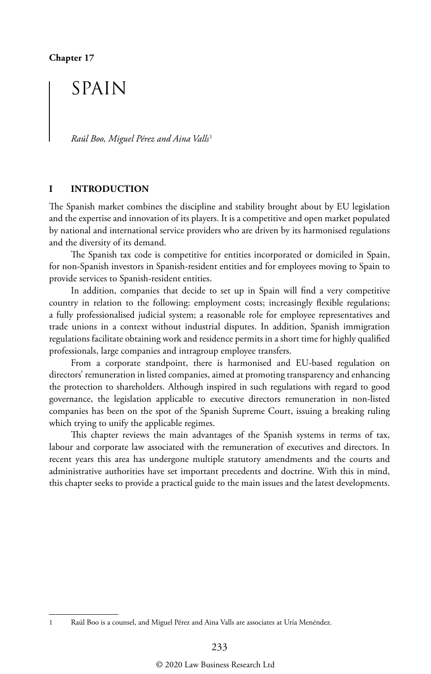## SPAIN

*Raúl Boo, Miguel Pérez and Aina Valls*<sup>1</sup>

#### **I INTRODUCTION**

The Spanish market combines the discipline and stability brought about by EU legislation and the expertise and innovation of its players. It is a competitive and open market populated by national and international service providers who are driven by its harmonised regulations and the diversity of its demand.

The Spanish tax code is competitive for entities incorporated or domiciled in Spain, for non-Spanish investors in Spanish-resident entities and for employees moving to Spain to provide services to Spanish-resident entities.

In addition, companies that decide to set up in Spain will find a very competitive country in relation to the following: employment costs; increasingly flexible regulations; a fully professionalised judicial system; a reasonable role for employee representatives and trade unions in a context without industrial disputes. In addition, Spanish immigration regulations facilitate obtaining work and residence permits in a short time for highly qualified professionals, large companies and intragroup employee transfers.

From a corporate standpoint, there is harmonised and EU-based regulation on directors' remuneration in listed companies, aimed at promoting transparency and enhancing the protection to shareholders. Although inspired in such regulations with regard to good governance, the legislation applicable to executive directors remuneration in non-listed companies has been on the spot of the Spanish Supreme Court, issuing a breaking ruling which trying to unify the applicable regimes.

This chapter reviews the main advantages of the Spanish systems in terms of tax, labour and corporate law associated with the remuneration of executives and directors. In recent years this area has undergone multiple statutory amendments and the courts and administrative authorities have set important precedents and doctrine. With this in mind, this chapter seeks to provide a practical guide to the main issues and the latest developments.

<sup>1</sup> Raúl Boo is a counsel, and Miguel Pérez and Aina Valls are associates at Uría Menéndez.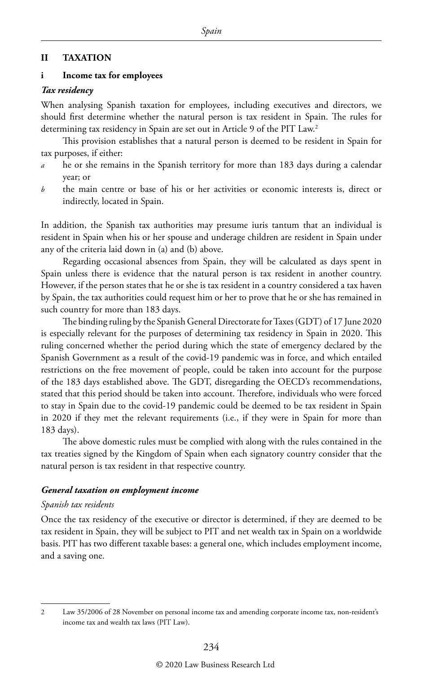#### **II TAXATION**

#### **i Income tax for employees**

#### *Tax residency*

When analysing Spanish taxation for employees, including executives and directors, we should first determine whether the natural person is tax resident in Spain. The rules for determining tax residency in Spain are set out in Article 9 of the PIT Law.<sup>2</sup>

This provision establishes that a natural person is deemed to be resident in Spain for tax purposes, if either:

- *a* he or she remains in the Spanish territory for more than 183 days during a calendar year; or
- *b* the main centre or base of his or her activities or economic interests is, direct or indirectly, located in Spain.

In addition, the Spanish tax authorities may presume iuris tantum that an individual is resident in Spain when his or her spouse and underage children are resident in Spain under any of the criteria laid down in (a) and (b) above.

Regarding occasional absences from Spain, they will be calculated as days spent in Spain unless there is evidence that the natural person is tax resident in another country. However, if the person states that he or she is tax resident in a country considered a tax haven by Spain, the tax authorities could request him or her to prove that he or she has remained in such country for more than 183 days.

The binding ruling by the Spanish General Directorate for Taxes (GDT) of 17 June 2020 is especially relevant for the purposes of determining tax residency in Spain in 2020. This ruling concerned whether the period during which the state of emergency declared by the Spanish Government as a result of the covid-19 pandemic was in force, and which entailed restrictions on the free movement of people, could be taken into account for the purpose of the 183 days established above. The GDT, disregarding the OECD's recommendations, stated that this period should be taken into account. Therefore, individuals who were forced to stay in Spain due to the covid-19 pandemic could be deemed to be tax resident in Spain in 2020 if they met the relevant requirements (i.e., if they were in Spain for more than 183 days).

The above domestic rules must be complied with along with the rules contained in the tax treaties signed by the Kingdom of Spain when each signatory country consider that the natural person is tax resident in that respective country.

#### *General taxation on employment income*

#### *Spanish tax residents*

Once the tax residency of the executive or director is determined, if they are deemed to be tax resident in Spain, they will be subject to PIT and net wealth tax in Spain on a worldwide basis. PIT has two different taxable bases: a general one, which includes employment income, and a saving one.

<sup>2</sup> Law 35/2006 of 28 November on personal income tax and amending corporate income tax, non-resident's income tax and wealth tax laws (PIT Law).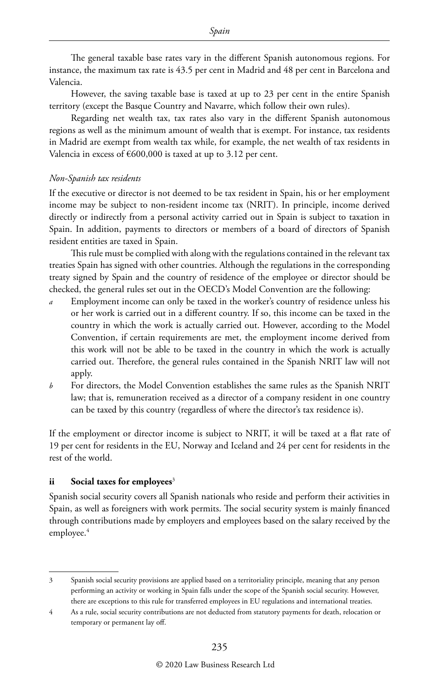The general taxable base rates vary in the different Spanish autonomous regions. For instance, the maximum tax rate is 43.5 per cent in Madrid and 48 per cent in Barcelona and Valencia.

However, the saving taxable base is taxed at up to 23 per cent in the entire Spanish territory (except the Basque Country and Navarre, which follow their own rules).

Regarding net wealth tax, tax rates also vary in the different Spanish autonomous regions as well as the minimum amount of wealth that is exempt. For instance, tax residents in Madrid are exempt from wealth tax while, for example, the net wealth of tax residents in Valencia in excess of  $\epsilon$ 600,000 is taxed at up to 3.12 per cent.

#### *Non-Spanish tax residents*

If the executive or director is not deemed to be tax resident in Spain, his or her employment income may be subject to non-resident income tax (NRIT). In principle, income derived directly or indirectly from a personal activity carried out in Spain is subject to taxation in Spain. In addition, payments to directors or members of a board of directors of Spanish resident entities are taxed in Spain.

This rule must be complied with along with the regulations contained in the relevant tax treaties Spain has signed with other countries. Although the regulations in the corresponding treaty signed by Spain and the country of residence of the employee or director should be checked, the general rules set out in the OECD's Model Convention are the following:

- Employment income can only be taxed in the worker's country of residence unless his or her work is carried out in a different country. If so, this income can be taxed in the country in which the work is actually carried out. However, according to the Model Convention, if certain requirements are met, the employment income derived from this work will not be able to be taxed in the country in which the work is actually carried out. Therefore, the general rules contained in the Spanish NRIT law will not apply.
- *b* For directors, the Model Convention establishes the same rules as the Spanish NRIT law; that is, remuneration received as a director of a company resident in one country can be taxed by this country (regardless of where the director's tax residence is).

If the employment or director income is subject to NRIT, it will be taxed at a flat rate of 19 per cent for residents in the EU, Norway and Iceland and 24 per cent for residents in the rest of the world.

#### **ii** Social taxes for employees<sup>3</sup>

Spanish social security covers all Spanish nationals who reside and perform their activities in Spain, as well as foreigners with work permits. The social security system is mainly financed through contributions made by employers and employees based on the salary received by the employee.<sup>4</sup>

<sup>3</sup> Spanish social security provisions are applied based on a territoriality principle, meaning that any person performing an activity or working in Spain falls under the scope of the Spanish social security. However, there are exceptions to this rule for transferred employees in EU regulations and international treaties.

<sup>4</sup> As a rule, social security contributions are not deducted from statutory payments for death, relocation or temporary or permanent lay off.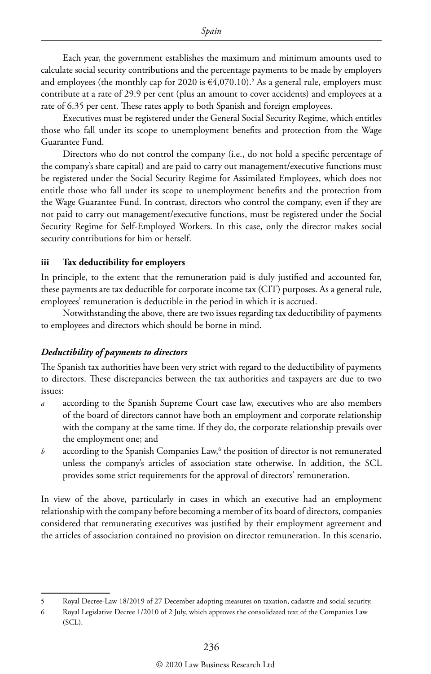Each year, the government establishes the maximum and minimum amounts used to calculate social security contributions and the percentage payments to be made by employers and employees (the monthly cap for 2020 is  $\epsilon$ 4,070.10).<sup>5</sup> As a general rule, employers must contribute at a rate of 29.9 per cent (plus an amount to cover accidents) and employees at a rate of 6.35 per cent. These rates apply to both Spanish and foreign employees.

Executives must be registered under the General Social Security Regime, which entitles those who fall under its scope to unemployment benefits and protection from the Wage Guarantee Fund.

Directors who do not control the company (i.e., do not hold a specific percentage of the company's share capital) and are paid to carry out management/executive functions must be registered under the Social Security Regime for Assimilated Employees, which does not entitle those who fall under its scope to unemployment benefits and the protection from the Wage Guarantee Fund. In contrast, directors who control the company, even if they are not paid to carry out management/executive functions, must be registered under the Social Security Regime for Self-Employed Workers. In this case, only the director makes social security contributions for him or herself.

#### **iii Tax deductibility for employers**

In principle, to the extent that the remuneration paid is duly justified and accounted for, these payments are tax deductible for corporate income tax (CIT) purposes. As a general rule, employees' remuneration is deductible in the period in which it is accrued.

Notwithstanding the above, there are two issues regarding tax deductibility of payments to employees and directors which should be borne in mind.

#### *Deductibility of payments to directors*

The Spanish tax authorities have been very strict with regard to the deductibility of payments to directors. These discrepancies between the tax authorities and taxpayers are due to two issues:

- *a* according to the Spanish Supreme Court case law, executives who are also members of the board of directors cannot have both an employment and corporate relationship with the company at the same time. If they do, the corporate relationship prevails over the employment one; and
- $b$  according to the Spanish Companies Law,<sup>6</sup> the position of director is not remunerated unless the company's articles of association state otherwise. In addition, the SCL provides some strict requirements for the approval of directors' remuneration.

In view of the above, particularly in cases in which an executive had an employment relationship with the company before becoming a member of its board of directors, companies considered that remunerating executives was justified by their employment agreement and the articles of association contained no provision on director remuneration. In this scenario,

<sup>5</sup> Royal Decree-Law 18/2019 of 27 December adopting measures on taxation, cadastre and social security.

<sup>6</sup> Royal Legislative Decree 1/2010 of 2 July, which approves the consolidated text of the Companies Law (SCL).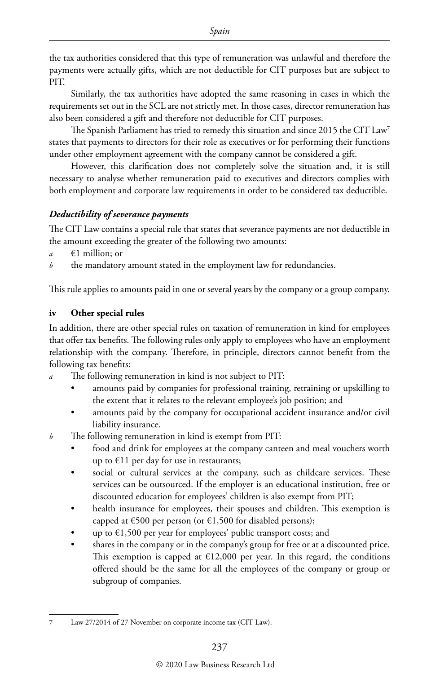the tax authorities considered that this type of remuneration was unlawful and therefore the payments were actually gifts, which are not deductible for CIT purposes but are subject to PIT.

Similarly, the tax authorities have adopted the same reasoning in cases in which the requirements set out in the SCL are not strictly met. In those cases, director remuneration has also been considered a gift and therefore not deductible for CIT purposes.

The Spanish Parliament has tried to remedy this situation and since 2015 the CIT Law<sup>7</sup> states that payments to directors for their role as executives or for performing their functions under other employment agreement with the company cannot be considered a gift.

However, this clarification does not completely solve the situation and, it is still necessary to analyse whether remuneration paid to executives and directors complies with both employment and corporate law requirements in order to be considered tax deductible.

#### *Deductibility of severance payments*

The CIT Law contains a special rule that states that severance payments are not deductible in the amount exceeding the greater of the following two amounts:

- *a* €1 million; or
- *b* the mandatory amount stated in the employment law for redundancies.

This rule applies to amounts paid in one or several years by the company or a group company.

#### **iv Other special rules**

In addition, there are other special rules on taxation of remuneration in kind for employees that offer tax benefits. The following rules only apply to employees who have an employment relationship with the company. Therefore, in principle, directors cannot benefit from the following tax benefits:

- The following remuneration in kind is not subject to PIT:
	- amounts paid by companies for professional training, retraining or upskilling to the extent that it relates to the relevant employee's job position; and
	- amounts paid by the company for occupational accident insurance and/or civil liability insurance.
- *b* The following remuneration in kind is exempt from PIT:
	- food and drink for employees at the company canteen and meal vouchers worth up to  $€11$  per day for use in restaurants;
	- social or cultural services at the company, such as childcare services. These services can be outsourced. If the employer is an educational institution, free or discounted education for employees' children is also exempt from PIT;
	- health insurance for employees, their spouses and children. This exemption is capped at  $\epsilon$ 500 per person (or  $\epsilon$ 1,500 for disabled persons);
	- up to  $\epsilon$ 1,500 per year for employees' public transport costs; and
	- shares in the company or in the company's group for free or at a discounted price. This exemption is capped at  $E12,000$  per year. In this regard, the conditions offered should be the same for all the employees of the company or group or subgroup of companies.

<sup>7</sup> Law 27/2014 of 27 November on corporate income tax (CIT Law).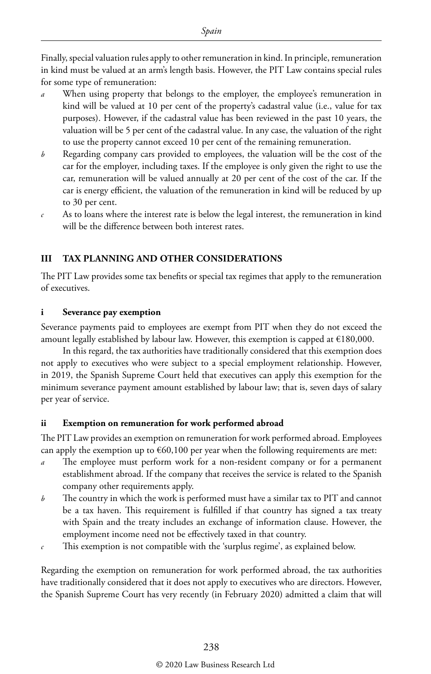Finally, special valuation rules apply to other remuneration in kind. In principle, remuneration in kind must be valued at an arm's length basis. However, the PIT Law contains special rules for some type of remuneration:

- *a* When using property that belongs to the employer, the employee's remuneration in kind will be valued at 10 per cent of the property's cadastral value (i.e., value for tax purposes). However, if the cadastral value has been reviewed in the past 10 years, the valuation will be 5 per cent of the cadastral value. In any case, the valuation of the right to use the property cannot exceed 10 per cent of the remaining remuneration.
- *b* Regarding company cars provided to employees, the valuation will be the cost of the car for the employer, including taxes. If the employee is only given the right to use the car, remuneration will be valued annually at 20 per cent of the cost of the car. If the car is energy efficient, the valuation of the remuneration in kind will be reduced by up to 30 per cent.
- *c* As to loans where the interest rate is below the legal interest, the remuneration in kind will be the difference between both interest rates.

#### **III TAX PLANNING AND OTHER CONSIDERATIONS**

The PIT Law provides some tax benefits or special tax regimes that apply to the remuneration of executives.

#### **i Severance pay exemption**

Severance payments paid to employees are exempt from PIT when they do not exceed the amount legally established by labour law. However, this exemption is capped at €180,000.

In this regard, the tax authorities have traditionally considered that this exemption does not apply to executives who were subject to a special employment relationship. However, in 2019, the Spanish Supreme Court held that executives can apply this exemption for the minimum severance payment amount established by labour law; that is, seven days of salary per year of service.

#### **ii Exemption on remuneration for work performed abroad**

The PIT Law provides an exemption on remuneration for work performed abroad. Employees can apply the exemption up to  $\epsilon$ 60,100 per year when the following requirements are met:

- *a* The employee must perform work for a non-resident company or for a permanent establishment abroad. If the company that receives the service is related to the Spanish company other requirements apply.
- *b* The country in which the work is performed must have a similar tax to PIT and cannot be a tax haven. This requirement is fulfilled if that country has signed a tax treaty with Spain and the treaty includes an exchange of information clause. However, the employment income need not be effectively taxed in that country.
- *c* This exemption is not compatible with the 'surplus regime', as explained below.

Regarding the exemption on remuneration for work performed abroad, the tax authorities have traditionally considered that it does not apply to executives who are directors. However, the Spanish Supreme Court has very recently (in February 2020) admitted a claim that will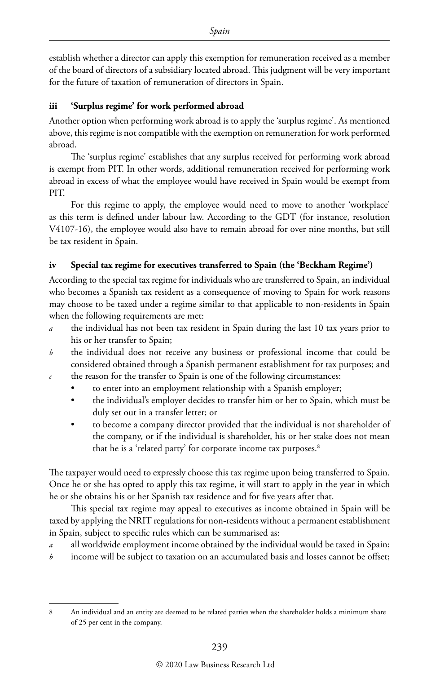establish whether a director can apply this exemption for remuneration received as a member of the board of directors of a subsidiary located abroad. This judgment will be very important for the future of taxation of remuneration of directors in Spain.

#### **iii 'Surplus regime' for work performed abroad**

Another option when performing work abroad is to apply the 'surplus regime'. As mentioned above, this regime is not compatible with the exemption on remuneration for work performed abroad.

The 'surplus regime' establishes that any surplus received for performing work abroad is exempt from PIT. In other words, additional remuneration received for performing work abroad in excess of what the employee would have received in Spain would be exempt from PIT.

For this regime to apply, the employee would need to move to another 'workplace' as this term is defined under labour law. According to the GDT (for instance, resolution V4107-16), the employee would also have to remain abroad for over nine months, but still be tax resident in Spain.

#### **iv Special tax regime for executives transferred to Spain (the 'Beckham Regime')**

According to the special tax regime for individuals who are transferred to Spain, an individual who becomes a Spanish tax resident as a consequence of moving to Spain for work reasons may choose to be taxed under a regime similar to that applicable to non-residents in Spain when the following requirements are met:

- *a* the individual has not been tax resident in Spain during the last 10 tax years prior to his or her transfer to Spain;
- *b* the individual does not receive any business or professional income that could be considered obtained through a Spanish permanent establishment for tax purposes; and *c* the reason for the transfer to Spain is one of the following circumstances:
	- to enter into an employment relationship with a Spanish employer;
	- the individual's employer decides to transfer him or her to Spain, which must be duly set out in a transfer letter; or
	- to become a company director provided that the individual is not shareholder of the company, or if the individual is shareholder, his or her stake does not mean that he is a 'related party' for corporate income tax purposes.<sup>8</sup>

The taxpayer would need to expressly choose this tax regime upon being transferred to Spain. Once he or she has opted to apply this tax regime, it will start to apply in the year in which he or she obtains his or her Spanish tax residence and for five years after that.

This special tax regime may appeal to executives as income obtained in Spain will be taxed by applying the NRIT regulations for non-residents without a permanent establishment in Spain, subject to specific rules which can be summarised as:

- all worldwide employment income obtained by the individual would be taxed in Spain;
- *b* income will be subject to taxation on an accumulated basis and losses cannot be offset;

<sup>8</sup> An individual and an entity are deemed to be related parties when the shareholder holds a minimum share of 25 per cent in the company.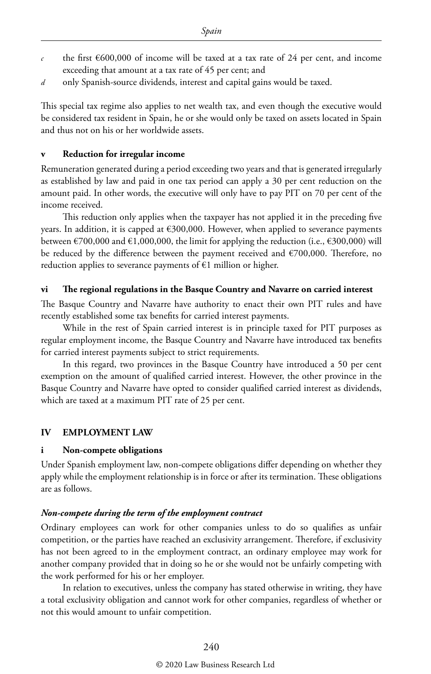- the first  $\epsilon$ 600,000 of income will be taxed at a tax rate of 24 per cent, and income exceeding that amount at a tax rate of 45 per cent; and
- *d* only Spanish-source dividends, interest and capital gains would be taxed.

This special tax regime also applies to net wealth tax, and even though the executive would be considered tax resident in Spain, he or she would only be taxed on assets located in Spain and thus not on his or her worldwide assets.

#### **v Reduction for irregular income**

Remuneration generated during a period exceeding two years and that is generated irregularly as established by law and paid in one tax period can apply a 30 per cent reduction on the amount paid. In other words, the executive will only have to pay PIT on 70 per cent of the income received.

This reduction only applies when the taxpayer has not applied it in the preceding five years. In addition, it is capped at €300,000. However, when applied to severance payments between  $\epsilon$ 700,000 and  $\epsilon$ 1,000,000, the limit for applying the reduction (i.e.,  $\epsilon$ 300,000) will be reduced by the difference between the payment received and €700,000. Therefore, no reduction applies to severance payments of €1 million or higher.

#### **vi The regional regulations in the Basque Country and Navarre on carried interest**

The Basque Country and Navarre have authority to enact their own PIT rules and have recently established some tax benefits for carried interest payments.

While in the rest of Spain carried interest is in principle taxed for PIT purposes as regular employment income, the Basque Country and Navarre have introduced tax benefits for carried interest payments subject to strict requirements.

In this regard, two provinces in the Basque Country have introduced a 50 per cent exemption on the amount of qualified carried interest. However, the other province in the Basque Country and Navarre have opted to consider qualified carried interest as dividends, which are taxed at a maximum PIT rate of 25 per cent.

#### **IV EMPLOYMENT LAW**

#### **i Non-compete obligations**

Under Spanish employment law, non-compete obligations differ depending on whether they apply while the employment relationship is in force or after its termination. These obligations are as follows.

#### *Non-compete during the term of the employment contract*

Ordinary employees can work for other companies unless to do so qualifies as unfair competition, or the parties have reached an exclusivity arrangement. Therefore, if exclusivity has not been agreed to in the employment contract, an ordinary employee may work for another company provided that in doing so he or she would not be unfairly competing with the work performed for his or her employer.

In relation to executives, unless the company has stated otherwise in writing, they have a total exclusivity obligation and cannot work for other companies, regardless of whether or not this would amount to unfair competition.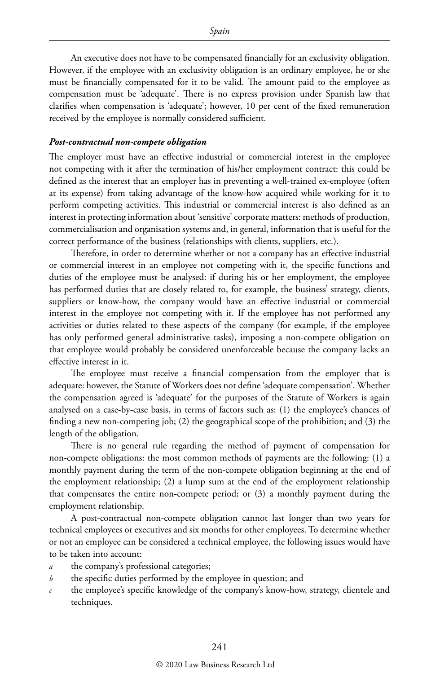An executive does not have to be compensated financially for an exclusivity obligation. However, if the employee with an exclusivity obligation is an ordinary employee, he or she must be financially compensated for it to be valid. The amount paid to the employee as compensation must be 'adequate'. There is no express provision under Spanish law that clarifies when compensation is 'adequate'; however, 10 per cent of the fixed remuneration received by the employee is normally considered sufficient.

#### *Post-contractual non-compete obligation*

The employer must have an effective industrial or commercial interest in the employee not competing with it after the termination of his/her employment contract: this could be defined as the interest that an employer has in preventing a well-trained ex-employee (often at its expense) from taking advantage of the know-how acquired while working for it to perform competing activities. This industrial or commercial interest is also defined as an interest in protecting information about 'sensitive' corporate matters: methods of production, commercialisation and organisation systems and, in general, information that is useful for the correct performance of the business (relationships with clients, suppliers, etc.).

Therefore, in order to determine whether or not a company has an effective industrial or commercial interest in an employee not competing with it, the specific functions and duties of the employee must be analysed: if during his or her employment, the employee has performed duties that are closely related to, for example, the business' strategy, clients, suppliers or know-how, the company would have an effective industrial or commercial interest in the employee not competing with it. If the employee has not performed any activities or duties related to these aspects of the company (for example, if the employee has only performed general administrative tasks), imposing a non-compete obligation on that employee would probably be considered unenforceable because the company lacks an effective interest in it.

The employee must receive a financial compensation from the employer that is adequate: however, the Statute of Workers does not define 'adequate compensation'. Whether the compensation agreed is 'adequate' for the purposes of the Statute of Workers is again analysed on a case-by-case basis, in terms of factors such as: (1) the employee's chances of finding a new non-competing job; (2) the geographical scope of the prohibition; and (3) the length of the obligation.

There is no general rule regarding the method of payment of compensation for non-compete obligations: the most common methods of payments are the following: (1) a monthly payment during the term of the non-compete obligation beginning at the end of the employment relationship; (2) a lump sum at the end of the employment relationship that compensates the entire non-compete period; or (3) a monthly payment during the employment relationship.

A post-contractual non-compete obligation cannot last longer than two years for technical employees or executives and six months for other employees. To determine whether or not an employee can be considered a technical employee, the following issues would have to be taken into account:

- *a* the company's professional categories;
- *b* the specific duties performed by the employee in question; and
- *c* the employee's specific knowledge of the company's know-how, strategy, clientele and techniques.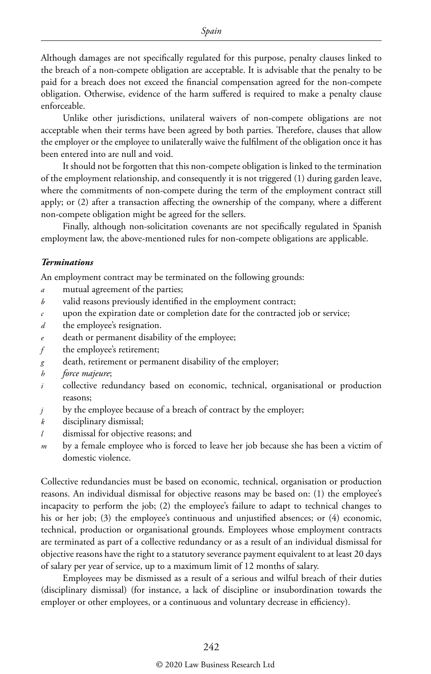Although damages are not specifically regulated for this purpose, penalty clauses linked to the breach of a non-compete obligation are acceptable. It is advisable that the penalty to be paid for a breach does not exceed the financial compensation agreed for the non-compete obligation. Otherwise, evidence of the harm suffered is required to make a penalty clause enforceable.

Unlike other jurisdictions, unilateral waivers of non-compete obligations are not acceptable when their terms have been agreed by both parties. Therefore, clauses that allow the employer or the employee to unilaterally waive the fulfilment of the obligation once it has been entered into are null and void.

It should not be forgotten that this non-compete obligation is linked to the termination of the employment relationship, and consequently it is not triggered (1) during garden leave, where the commitments of non-compete during the term of the employment contract still apply; or (2) after a transaction affecting the ownership of the company, where a different non-compete obligation might be agreed for the sellers.

Finally, although non-solicitation covenants are not specifically regulated in Spanish employment law, the above-mentioned rules for non-compete obligations are applicable.

#### *Terminations*

An employment contract may be terminated on the following grounds:

- *a* mutual agreement of the parties;
- *b* valid reasons previously identified in the employment contract;
- *c* upon the expiration date or completion date for the contracted job or service;
- *d* the employee's resignation.
- *e* death or permanent disability of the employee;
- *f* the employee's retirement;
- *g* death, retirement or permanent disability of the employer;
- *h force majeure*;
- *i* collective redundancy based on economic, technical, organisational or production reasons;
- *j* by the employee because of a breach of contract by the employer;
- *k* disciplinary dismissal;
- *l* dismissal for objective reasons; and
- *m* by a female employee who is forced to leave her job because she has been a victim of domestic violence.

Collective redundancies must be based on economic, technical, organisation or production reasons. An individual dismissal for objective reasons may be based on: (1) the employee's incapacity to perform the job; (2) the employee's failure to adapt to technical changes to his or her job; (3) the employee's continuous and unjustified absences; or (4) economic, technical, production or organisational grounds. Employees whose employment contracts are terminated as part of a collective redundancy or as a result of an individual dismissal for objective reasons have the right to a statutory severance payment equivalent to at least 20 days of salary per year of service, up to a maximum limit of 12 months of salary.

Employees may be dismissed as a result of a serious and wilful breach of their duties (disciplinary dismissal) (for instance, a lack of discipline or insubordination towards the employer or other employees, or a continuous and voluntary decrease in efficiency).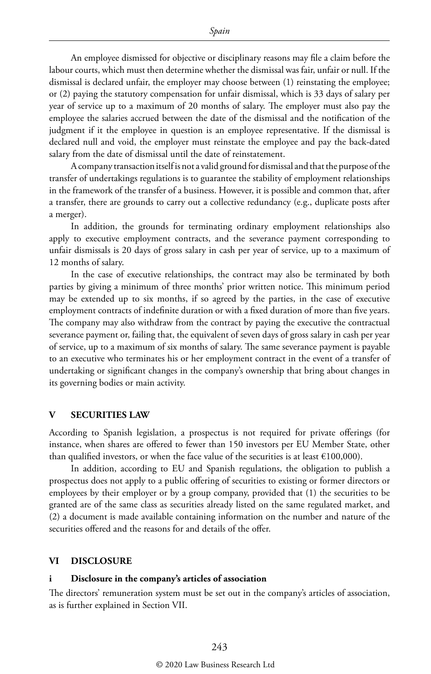An employee dismissed for objective or disciplinary reasons may file a claim before the labour courts, which must then determine whether the dismissal was fair, unfair or null. If the dismissal is declared unfair, the employer may choose between (1) reinstating the employee; or (2) paying the statutory compensation for unfair dismissal, which is 33 days of salary per year of service up to a maximum of 20 months of salary. The employer must also pay the employee the salaries accrued between the date of the dismissal and the notification of the judgment if it the employee in question is an employee representative. If the dismissal is declared null and void, the employer must reinstate the employee and pay the back-dated salary from the date of dismissal until the date of reinstatement.

A company transaction itself is not a valid ground for dismissal and that the purpose of the transfer of undertakings regulations is to guarantee the stability of employment relationships in the framework of the transfer of a business. However, it is possible and common that, after a transfer, there are grounds to carry out a collective redundancy (e.g., duplicate posts after a merger).

In addition, the grounds for terminating ordinary employment relationships also apply to executive employment contracts, and the severance payment corresponding to unfair dismissals is 20 days of gross salary in cash per year of service, up to a maximum of 12 months of salary.

In the case of executive relationships, the contract may also be terminated by both parties by giving a minimum of three months' prior written notice. This minimum period may be extended up to six months, if so agreed by the parties, in the case of executive employment contracts of indefinite duration or with a fixed duration of more than five years. The company may also withdraw from the contract by paying the executive the contractual severance payment or, failing that, the equivalent of seven days of gross salary in cash per year of service, up to a maximum of six months of salary. The same severance payment is payable to an executive who terminates his or her employment contract in the event of a transfer of undertaking or significant changes in the company's ownership that bring about changes in its governing bodies or main activity.

#### **V SECURITIES LAW**

According to Spanish legislation, a prospectus is not required for private offerings (for instance, when shares are offered to fewer than 150 investors per EU Member State, other than qualified investors, or when the face value of the securities is at least  $€100,000$ ).

In addition, according to EU and Spanish regulations, the obligation to publish a prospectus does not apply to a public offering of securities to existing or former directors or employees by their employer or by a group company, provided that (1) the securities to be granted are of the same class as securities already listed on the same regulated market, and (2) a document is made available containing information on the number and nature of the securities offered and the reasons for and details of the offer.

#### **VI DISCLOSURE**

#### **i Disclosure in the company's articles of association**

The directors' remuneration system must be set out in the company's articles of association, as is further explained in Section VII.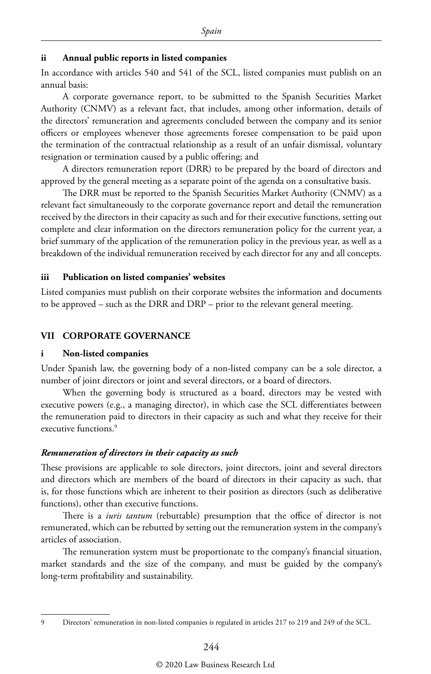#### **ii Annual public reports in listed companies**

In accordance with articles 540 and 541 of the SCL, listed companies must publish on an annual basis:

A corporate governance report, to be submitted to the Spanish Securities Market Authority (CNMV) as a relevant fact, that includes, among other information, details of the directors' remuneration and agreements concluded between the company and its senior officers or employees whenever those agreements foresee compensation to be paid upon the termination of the contractual relationship as a result of an unfair dismissal, voluntary resignation or termination caused by a public offering; and

A directors remuneration report (DRR) to be prepared by the board of directors and approved by the general meeting as a separate point of the agenda on a consultative basis.

The DRR must be reported to the Spanish Securities Market Authority (CNMV) as a relevant fact simultaneously to the corporate governance report and detail the remuneration received by the directors in their capacity as such and for their executive functions, setting out complete and clear information on the directors remuneration policy for the current year, a brief summary of the application of the remuneration policy in the previous year, as well as a breakdown of the individual remuneration received by each director for any and all concepts.

#### **iii Publication on listed companies' websites**

Listed companies must publish on their corporate websites the information and documents to be approved – such as the DRR and DRP – prior to the relevant general meeting.

#### **VII CORPORATE GOVERNANCE**

#### **i Non-listed companies**

Under Spanish law, the governing body of a non-listed company can be a sole director, a number of joint directors or joint and several directors, or a board of directors.

When the governing body is structured as a board, directors may be vested with executive powers (e.g., a managing director), in which case the SCL differentiates between the remuneration paid to directors in their capacity as such and what they receive for their executive functions.<sup>9</sup>

#### *Remuneration of directors in their capacity as such*

These provisions are applicable to sole directors, joint directors, joint and several directors and directors which are members of the board of directors in their capacity as such, that is, for those functions which are inherent to their position as directors (such as deliberative functions), other than executive functions.

There is a *iuris tantum* (rebuttable) presumption that the office of director is not remunerated, which can be rebutted by setting out the remuneration system in the company's articles of association.

The remuneration system must be proportionate to the company's financial situation, market standards and the size of the company, and must be guided by the company's long-term profitability and sustainability.

<sup>9</sup> Directors' remuneration in non-listed companies is regulated in articles 217 to 219 and 249 of the SCL.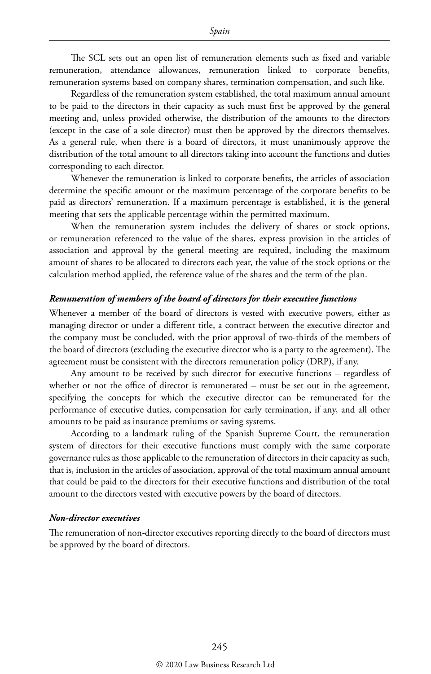The SCL sets out an open list of remuneration elements such as fixed and variable remuneration, attendance allowances, remuneration linked to corporate benefits, remuneration systems based on company shares, termination compensation, and such like.

Regardless of the remuneration system established, the total maximum annual amount to be paid to the directors in their capacity as such must first be approved by the general meeting and, unless provided otherwise, the distribution of the amounts to the directors (except in the case of a sole director) must then be approved by the directors themselves. As a general rule, when there is a board of directors, it must unanimously approve the distribution of the total amount to all directors taking into account the functions and duties corresponding to each director.

Whenever the remuneration is linked to corporate benefits, the articles of association determine the specific amount or the maximum percentage of the corporate benefits to be paid as directors' remuneration. If a maximum percentage is established, it is the general meeting that sets the applicable percentage within the permitted maximum.

When the remuneration system includes the delivery of shares or stock options, or remuneration referenced to the value of the shares, express provision in the articles of association and approval by the general meeting are required, including the maximum amount of shares to be allocated to directors each year, the value of the stock options or the calculation method applied, the reference value of the shares and the term of the plan.

#### *Remuneration of members of the board of directors for their executive functions*

Whenever a member of the board of directors is vested with executive powers, either as managing director or under a different title, a contract between the executive director and the company must be concluded, with the prior approval of two-thirds of the members of the board of directors (excluding the executive director who is a party to the agreement). The agreement must be consistent with the directors remuneration policy (DRP), if any.

Any amount to be received by such director for executive functions – regardless of whether or not the office of director is remunerated – must be set out in the agreement, specifying the concepts for which the executive director can be remunerated for the performance of executive duties, compensation for early termination, if any, and all other amounts to be paid as insurance premiums or saving systems.

According to a landmark ruling of the Spanish Supreme Court, the remuneration system of directors for their executive functions must comply with the same corporate governance rules as those applicable to the remuneration of directors in their capacity as such, that is, inclusion in the articles of association, approval of the total maximum annual amount that could be paid to the directors for their executive functions and distribution of the total amount to the directors vested with executive powers by the board of directors.

#### *Non-director executives*

The remuneration of non-director executives reporting directly to the board of directors must be approved by the board of directors.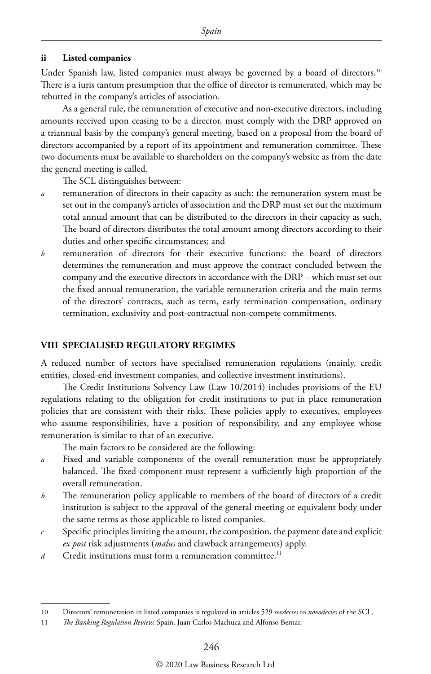#### **ii Listed companies**

Under Spanish law, listed companies must always be governed by a board of directors.<sup>10</sup> There is a iuris tantum presumption that the office of director is remunerated, which may be rebutted in the company's articles of association.

As a general rule, the remuneration of executive and non-executive directors, including amounts received upon ceasing to be a director, must comply with the DRP approved on a triannual basis by the company's general meeting, based on a proposal from the board of directors accompanied by a report of its appointment and remuneration committee. These two documents must be available to shareholders on the company's website as from the date the general meeting is called.

The SCL distinguishes between:

- *a* remuneration of directors in their capacity as such: the remuneration system must be set out in the company's articles of association and the DRP must set out the maximum total annual amount that can be distributed to the directors in their capacity as such. The board of directors distributes the total amount among directors according to their duties and other specific circumstances; and
- *b* remuneration of directors for their executive functions: the board of directors determines the remuneration and must approve the contract concluded between the company and the executive directors in accordance with the DRP – which must set out the fixed annual remuneration, the variable remuneration criteria and the main terms of the directors' contracts, such as term, early termination compensation, ordinary termination, exclusivity and post-contractual non-compete commitments.

#### **VIII SPECIALISED REGULATORY REGIMES**

A reduced number of sectors have specialised remuneration regulations (mainly, credit entities, closed-end investment companies, and collective investment institutions).

The Credit Institutions Solvency Law (Law 10/2014) includes provisions of the EU regulations relating to the obligation for credit institutions to put in place remuneration policies that are consistent with their risks. These policies apply to executives, employees who assume responsibilities, have a position of responsibility, and any employee whose remuneration is similar to that of an executive.

The main factors to be considered are the following:

- *a* Fixed and variable components of the overall remuneration must be appropriately balanced. The fixed component must represent a sufficiently high proportion of the overall remuneration.
- *b* The remuneration policy applicable to members of the board of directors of a credit institution is subject to the approval of the general meeting or equivalent body under the same terms as those applicable to listed companies.
- *c* Specific principles limiting the amount, the composition, the payment date and explicit *ex post* risk adjustments (*malus* and clawback arrangements) apply.
- *d* Credit institutions must form a remuneration committee.<sup>11</sup>

<sup>10</sup> Directors' remuneration in listed companies is regulated in articles 529 *sexdecies* to *novodecies* of the SCL.

<sup>11</sup> *The Banking Regulation Review.* Spain. Juan Carlos Machuca and Alfonso Bernar.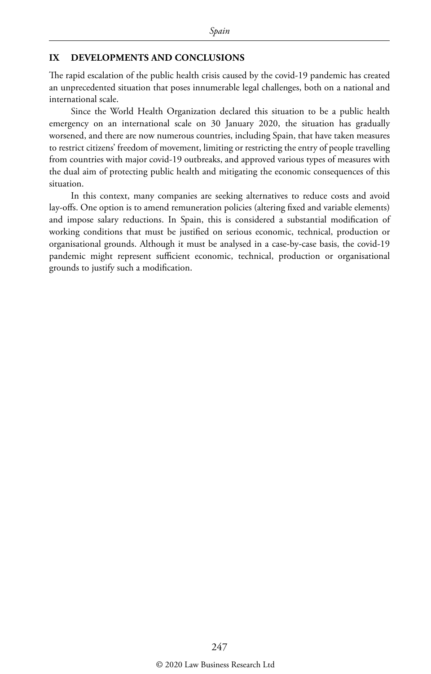#### **IX DEVELOPMENTS AND CONCLUSIONS**

The rapid escalation of the public health crisis caused by the covid-19 pandemic has created an unprecedented situation that poses innumerable legal challenges, both on a national and international scale.

Since the World Health Organization declared this situation to be a public health emergency on an international scale on 30 January 2020, the situation has gradually worsened, and there are now numerous countries, including Spain, that have taken measures to restrict citizens' freedom of movement, limiting or restricting the entry of people travelling from countries with major covid-19 outbreaks, and approved various types of measures with the dual aim of protecting public health and mitigating the economic consequences of this situation.

In this context, many companies are seeking alternatives to reduce costs and avoid lay-offs. One option is to amend remuneration policies (altering fixed and variable elements) and impose salary reductions. In Spain, this is considered a substantial modification of working conditions that must be justified on serious economic, technical, production or organisational grounds. Although it must be analysed in a case-by-case basis, the covid-19 pandemic might represent sufficient economic, technical, production or organisational grounds to justify such a modification.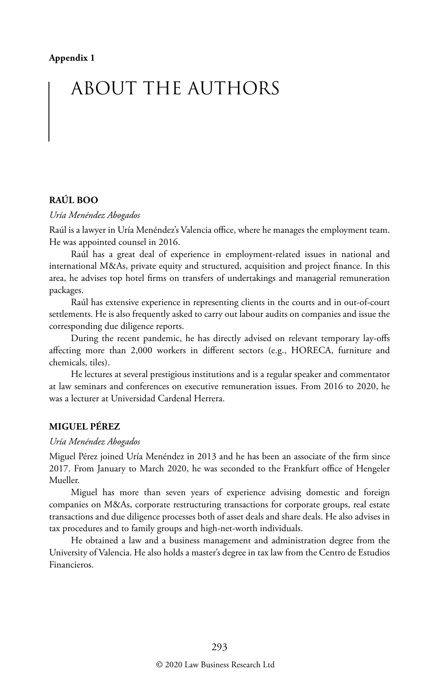# ABOUT THE AUTHORS

#### **RAÚL BOO**

#### *Uría Menéndez Abogados*

Raúl is a lawyer in Uría Menéndez's Valencia office, where he manages the employment team. He was appointed counsel in 2016.

Raúl has a great deal of experience in employment-related issues in national and international M&As, private equity and structured, acquisition and project finance. In this area, he advises top hotel firms on transfers of undertakings and managerial remuneration packages.

Raúl has extensive experience in representing clients in the courts and in out-of-court settlements. He is also frequently asked to carry out labour audits on companies and issue the corresponding due diligence reports.

During the recent pandemic, he has directly advised on relevant temporary lay-offs affecting more than 2,000 workers in different sectors (e.g., HORECA, furniture and chemicals, tiles).

He lectures at several prestigious institutions and is a regular speaker and commentator at law seminars and conferences on executive remuneration issues. From 2016 to 2020, he was a lecturer at Universidad Cardenal Herrera.

#### **MIGUEL PÉREZ**

#### *Uría Menéndez Abogados*

Miguel Pérez joined Uría Menéndez in 2013 and he has been an associate of the firm since 2017. From January to March 2020, he was seconded to the Frankfurt office of Hengeler Mueller.

Miguel has more than seven years of experience advising domestic and foreign companies on M&As, corporate restructuring transactions for corporate groups, real estate transactions and due diligence processes both of asset deals and share deals. He also advises in tax procedures and to family groups and high-net-worth individuals.

He obtained a law and a business management and administration degree from the University of Valencia. He also holds a master's degree in tax law from the Centro de Estudios Financieros.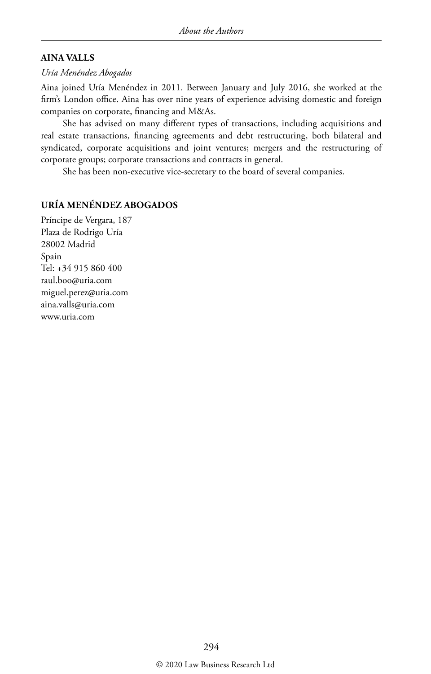#### **AINA VALLS**

#### *Uría Menéndez Abogados*

Aina joined Uría Menéndez in 2011. Between January and July 2016, she worked at the firm's London office. Aina has over nine years of experience advising domestic and foreign companies on corporate, financing and M&As.

She has advised on many different types of transactions, including acquisitions and real estate transactions, financing agreements and debt restructuring, both bilateral and syndicated, corporate acquisitions and joint ventures; mergers and the restructuring of corporate groups; corporate transactions and contracts in general.

She has been non-executive vice-secretary to the board of several companies.

#### **URÍA MENÉNDEZ ABOGADOS**

Príncipe de Vergara, 187 Plaza de Rodrigo Uría 28002 Madrid Spain Tel: +34 915 860 400 raul.boo@uria.com miguel.perez@uria.com aina.valls@uria.com www.uria.com